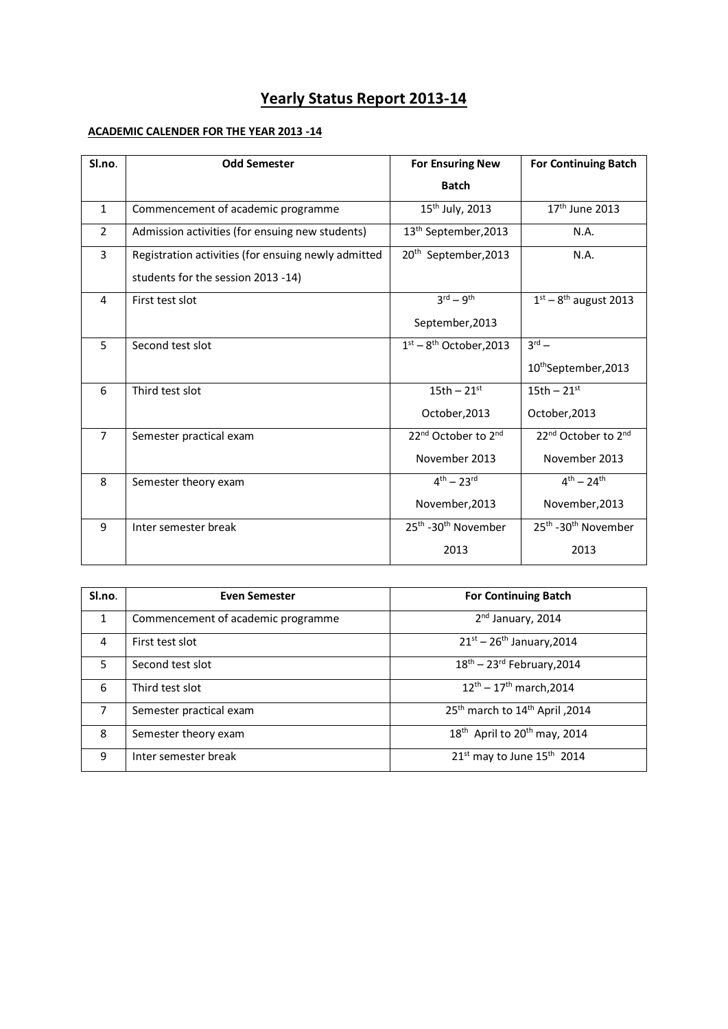# **Yearly Status Report 2013-14**

## **ACADEMIC CALENDER FOR THE YEAR 2013 -14**

| Sl.no.         | <b>Odd Semester</b>                                 | <b>For Ensuring New</b>                     | <b>For Continuing Batch</b>                 |  |
|----------------|-----------------------------------------------------|---------------------------------------------|---------------------------------------------|--|
|                |                                                     | <b>Batch</b>                                |                                             |  |
| 1              | Commencement of academic programme                  | 15 <sup>th</sup> July, 2013                 | $17th$ June 2013                            |  |
| $\overline{2}$ | Admission activities (for ensuing new students)     | 13 <sup>th</sup> September, 2013            | N.A.                                        |  |
| $\overline{3}$ | Registration activities (for ensuing newly admitted | 20 <sup>th</sup> September, 2013            | N.A.                                        |  |
|                | students for the session 2013 -14)                  |                                             |                                             |  |
| 4              | First test slot                                     | $3^{\text{rd}} - 9^{\text{th}}$             | $1st - 8th$ august 2013                     |  |
|                |                                                     | September, 2013                             |                                             |  |
| 5              | Second test slot                                    | $1st - 8th October, 2013$                   | $3^{\text{rd}} -$                           |  |
|                |                                                     |                                             | 10thSeptember, 2013                         |  |
| 6              | Third test slot                                     | 15th $-21$ <sup>st</sup>                    | 15th $-21$ <sup>st</sup>                    |  |
|                |                                                     | October, 2013                               | October, 2013                               |  |
| $\overline{7}$ | Semester practical exam                             | 22 <sup>nd</sup> October to 2 <sup>nd</sup> | 22 <sup>nd</sup> October to 2 <sup>nd</sup> |  |
|                |                                                     | November 2013                               | November 2013                               |  |
| 8              | Semester theory exam                                | $4^{th} - 23^{rd}$                          | $4^{th} - 24^{th}$                          |  |
|                |                                                     | November, 2013                              | November, 2013                              |  |
| 9              | Inter semester break                                | 25 <sup>th</sup> -30 <sup>th</sup> November | 25 <sup>th</sup> -30 <sup>th</sup> November |  |
|                |                                                     | 2013                                        | 2013                                        |  |

| Sl.no.         | <b>Even Semester</b>               | <b>For Continuing Batch</b>                          |  |  |
|----------------|------------------------------------|------------------------------------------------------|--|--|
| 1              | Commencement of academic programme | 2 <sup>nd</sup> January, 2014                        |  |  |
| 4              | First test slot                    | $21^{st} - 26^{th}$ January, 2014                    |  |  |
| 5              | Second test slot                   | $18^{th}$ – 23 <sup>rd</sup> February, 2014          |  |  |
| 6              | Third test slot                    | $12^{th}$ – $17^{th}$ march, 2014                    |  |  |
| $\overline{7}$ | Semester practical exam            | 2014, 2014 25th march to 14th April                  |  |  |
| 8              | Semester theory exam               | 18 <sup>th</sup> April to 20 <sup>th</sup> may, 2014 |  |  |
| 9              | Inter semester break               | 21 <sup>st</sup> may to June 15 <sup>th</sup> 2014   |  |  |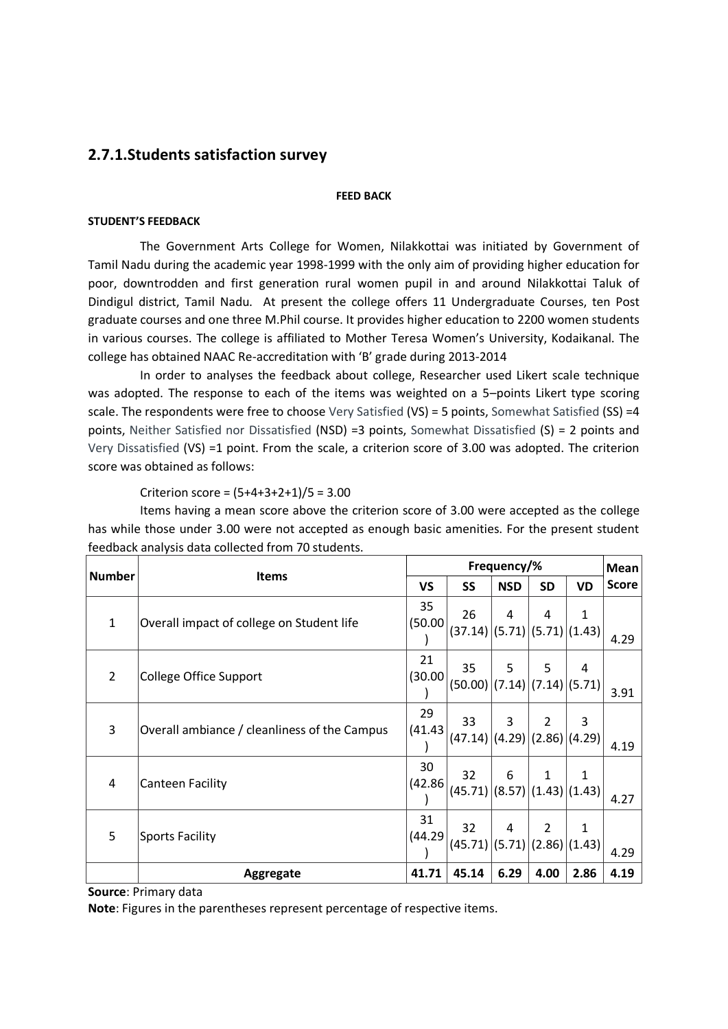## **2.7.1.Students satisfaction survey**

#### **FEED BACK**

#### **STUDENT'S FEEDBACK**

The Government Arts College for Women, Nilakkottai was initiated by Government of Tamil Nadu during the academic year 1998-1999 with the only aim of providing higher education for poor, downtrodden and first generation rural women pupil in and around Nilakkottai Taluk of Dindigul district, Tamil Nadu. At present the college offers 11 Undergraduate Courses, ten Post graduate courses and one three M.Phil course. It provides higher education to 2200 women students in various courses. The college is affiliated to Mother Teresa Women's University, Kodaikanal. The college has obtained NAAC Re-accreditation with 'B' grade during 2013-2014

In order to analyses the feedback about college, Researcher used Likert scale technique was adopted. The response to each of the items was weighted on a 5–points Likert type scoring scale. The respondents were free to choose Very Satisfied (VS) = 5 points, Somewhat Satisfied (SS) =4 points, Neither Satisfied nor Dissatisfied (NSD) =3 points, Somewhat Dissatisfied (S) = 2 points and Very Dissatisfied (VS) =1 point. From the scale, a criterion score of 3.00 was adopted. The criterion score was obtained as follows:

Criterion score = (5+4+3+2+1)/5 = 3.00

Items having a mean score above the criterion score of 3.00 were accepted as the college has while those under 3.00 were not accepted as enough basic amenities. For the present student feedback analysis data collected from 70 students.

| Number         | <b>Items</b>                                 |               | Frequency/%                                |            |                |      |              |
|----------------|----------------------------------------------|---------------|--------------------------------------------|------------|----------------|------|--------------|
|                |                                              |               | SS                                         | <b>NSD</b> | SD             | VD   | <b>Score</b> |
| $\mathbf{1}$   | Overall impact of college on Student life    | 35<br>(50.00) | 26<br>(37.14)   (5.71)   (5.71)   (1.43)   | 4          | 4              | 1    | 4.29         |
| $\overline{2}$ | College Office Support                       | 21<br>(30.00) | 35<br>(50.00)   (7.14)   (7.14)   (5.71)   | 5          | 5              | 4    | 3.91         |
| 3              | Overall ambiance / cleanliness of the Campus | 29<br>(41.43) | 33<br>$(47.14)$ $(4.29)$ $(2.86)$ $(4.29)$ | 3          | $\overline{2}$ | 3    | 4.19         |
| 4              | <b>Canteen Facility</b>                      | 30<br>(42.86) | 32<br>$(45.71)$ (8.57)(1.43)(1.43)         | 6          | 1              | 1    | 4.27         |
| 5              | <b>Sports Facility</b>                       | 31<br>(44.29) | 32<br>(45.71)(5.71)(2.86)(1.43)            | 4          | $\overline{2}$ | 1    | 4.29         |
|                | Aggregate                                    | 41.71         | 45.14                                      | 6.29       | 4.00           | 2.86 | 4.19         |

**Source**: Primary data

**Note**: Figures in the parentheses represent percentage of respective items.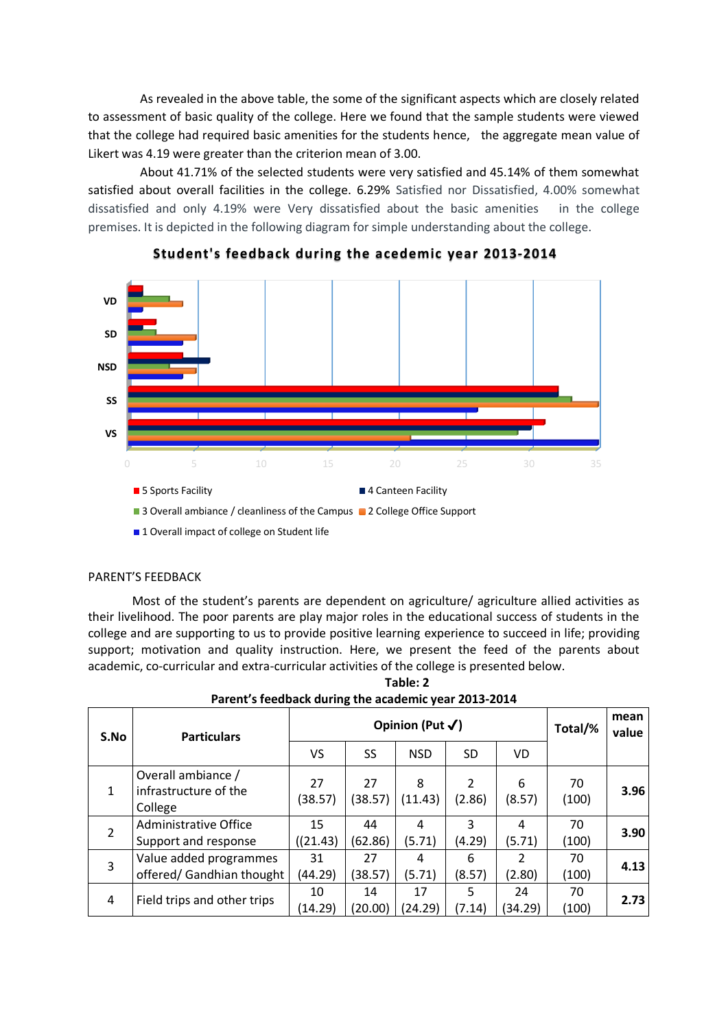As revealed in the above table, the some of the significant aspects which are closely related to assessment of basic quality of the college. Here we found that the sample students were viewed that the college had required basic amenities for the students hence, the aggregate mean value of Likert was 4.19 were greater than the criterion mean of 3.00.

About 41.71% of the selected students were very satisfied and 45.14% of them somewhat satisfied about overall facilities in the college. 6.29% Satisfied nor Dissatisfied, 4.00% somewhat dissatisfied and only 4.19% were Very dissatisfied about the basic amenities in the college premises. It is depicted in the following diagram for simple understanding about the college.



**Student's feedback during the acedemic year 2013-2014**

■ 1 Overall impact of college on Student life

#### PARENT'S FEEDBACK

Most of the student's parents are dependent on agriculture/ agriculture allied activities as their livelihood. The poor parents are play major roles in the educational success of students in the college and are supporting to us to provide positive learning experience to succeed in life; providing support; motivation and quality instruction. Here, we present the feed of the parents about academic, co-curricular and extra-curricular activities of the college is presented below.

| Table: 2                                             |  |
|------------------------------------------------------|--|
| Parent's feedback during the academic year 2013-2014 |  |

| S.No          | <b>Particulars</b>                                     | Opinion (Put $\checkmark$ ) |               |               |                          |                          | Total/%     | mean<br>value |
|---------------|--------------------------------------------------------|-----------------------------|---------------|---------------|--------------------------|--------------------------|-------------|---------------|
|               |                                                        | VS                          | SS            | <b>NSD</b>    | SD.                      | VD.                      |             |               |
| $\mathbf{1}$  | Overall ambiance /<br>infrastructure of the<br>College | 27<br>(38.57)               | 27<br>(38.57) | 8<br>(11.43)  | $\mathfrak{p}$<br>(2.86) | 6<br>(8.57)              | 70<br>(100) | 3.96          |
| $\mathcal{P}$ | <b>Administrative Office</b><br>Support and response   | 15<br>((21.43)              | 44<br>(62.86) | 4<br>(5.71)   | 3<br>(4.29)              | 4<br>(5.71)              | 70<br>(100) | 3.90          |
| 3             | Value added programmes<br>offered/ Gandhian thought    | 31<br>(44.29)               | 27<br>(38.57) | 4<br>(5.71)   | 6<br>(8.57)              | $\mathfrak{p}$<br>(2.80) | 70<br>(100) | 4.13          |
| 4             | Field trips and other trips                            | 10<br>(14.29)               | 14<br>(20.00) | 17<br>(24.29) | 5<br>(7.14)              | 24<br>34.29)             | 70<br>(100) | 2.73          |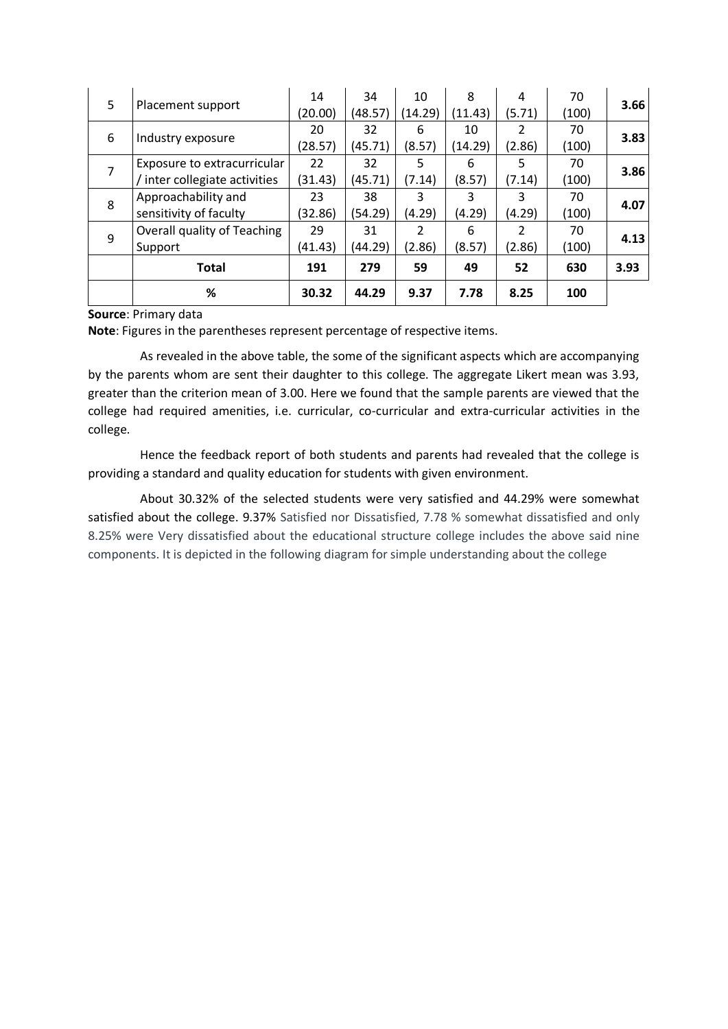| 5 |                             | 14      | 34      | 10      | 8       | 4             | 70    | 3.66 |
|---|-----------------------------|---------|---------|---------|---------|---------------|-------|------|
|   | Placement support           | (20.00) | (48.57) | (14.29) | (11.43) | (5.71)        | (100) |      |
|   |                             | 20      | 32      | 6       | 10      | $\mathcal{P}$ | 70    | 3.83 |
| 6 | Industry exposure           | (28.57) | (45.71) | (8.57)  | (14.29) | (2.86)        | (100) |      |
|   | Exposure to extracurricular | 22      | 32      | 5       | 6       | 5             | 70    | 3.86 |
| 8 | inter collegiate activities | (31.43) | (45.71) | (7.14)  | (8.57)  | (7.14)        | (100) |      |
|   | Approachability and         | 23      | 38      | 3       | 3       | 3             | 70    | 4.07 |
|   | sensitivity of faculty      | (32.86) | (54.29) | (4.29)  | (4.29)  | (4.29)        | (100) | 4.13 |
| 9 | Overall quality of Teaching | 29      | 31      | 2       | 6       | $\mathcal{L}$ | 70    |      |
|   | Support                     | (41.43) | (44.29) | (2.86)  | (8.57)  | (2.86)        | (100) |      |
|   | <b>Total</b>                | 191     | 279     | 59      | 49      | 52            | 630   | 3.93 |
|   | %                           | 30.32   | 44.29   | 9.37    | 7.78    | 8.25          | 100   |      |

#### **Source**: Primary data

**Note**: Figures in the parentheses represent percentage of respective items.

As revealed in the above table, the some of the significant aspects which are accompanying by the parents whom are sent their daughter to this college. The aggregate Likert mean was 3.93, greater than the criterion mean of 3.00. Here we found that the sample parents are viewed that the college had required amenities, i.e. curricular, co-curricular and extra-curricular activities in the college.

Hence the feedback report of both students and parents had revealed that the college is providing a standard and quality education for students with given environment.

About 30.32% of the selected students were very satisfied and 44.29% were somewhat satisfied about the college. 9.37% Satisfied nor Dissatisfied, 7.78 % somewhat dissatisfied and only 8.25% were Very dissatisfied about the educational structure college includes the above said nine components. It is depicted in the following diagram for simple understanding about the college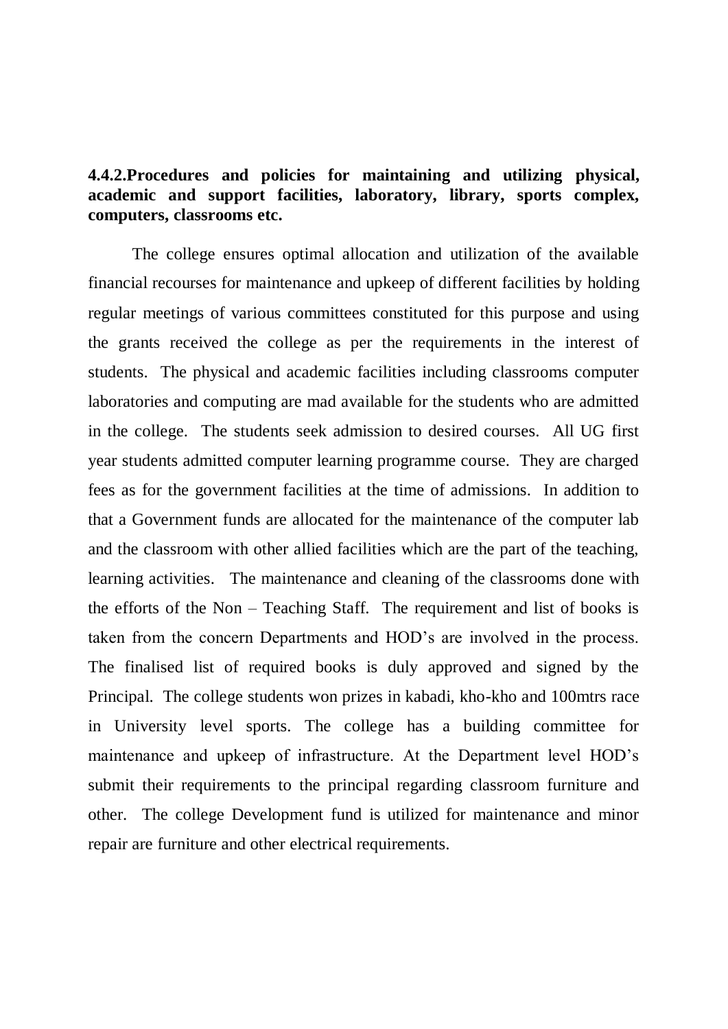# **4.4.2.Procedures and policies for maintaining and utilizing physical, academic and support facilities, laboratory, library, sports complex, computers, classrooms etc.**

The college ensures optimal allocation and utilization of the available financial recourses for maintenance and upkeep of different facilities by holding regular meetings of various committees constituted for this purpose and using the grants received the college as per the requirements in the interest of students. The physical and academic facilities including classrooms computer laboratories and computing are mad available for the students who are admitted in the college. The students seek admission to desired courses. All UG first year students admitted computer learning programme course. They are charged fees as for the government facilities at the time of admissions. In addition to that a Government funds are allocated for the maintenance of the computer lab and the classroom with other allied facilities which are the part of the teaching, learning activities. The maintenance and cleaning of the classrooms done with the efforts of the Non – Teaching Staff. The requirement and list of books is taken from the concern Departments and HOD's are involved in the process. The finalised list of required books is duly approved and signed by the Principal. The college students won prizes in kabadi, kho-kho and 100mtrs race in University level sports. The college has a building committee for maintenance and upkeep of infrastructure. At the Department level HOD's submit their requirements to the principal regarding classroom furniture and other. The college Development fund is utilized for maintenance and minor repair are furniture and other electrical requirements.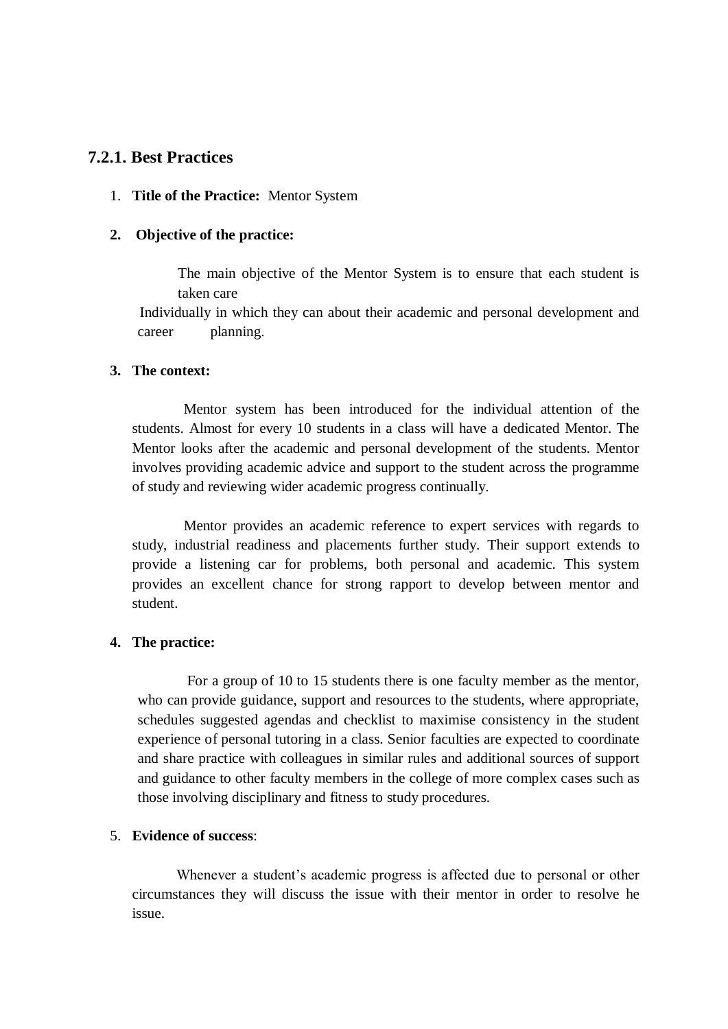# **7.2.1. Best Practices**

#### 1. **Title of the Practice:** Mentor System

#### **2. Objective of the practice:**

The main objective of the Mentor System is to ensure that each student is taken care

 Individually in which they can about their academic and personal development and career planning.

### **3. The context:**

 Mentor system has been introduced for the individual attention of the students. Almost for every 10 students in a class will have a dedicated Mentor. The Mentor looks after the academic and personal development of the students. Mentor involves providing academic advice and support to the student across the programme of study and reviewing wider academic progress continually.

 Mentor provides an academic reference to expert services with regards to study, industrial readiness and placements further study. Their support extends to provide a listening car for problems, both personal and academic. This system provides an excellent chance for strong rapport to develop between mentor and student.

### **4. The practice:**

 For a group of 10 to 15 students there is one faculty member as the mentor, who can provide guidance, support and resources to the students, where appropriate, schedules suggested agendas and checklist to maximise consistency in the student experience of personal tutoring in a class. Senior faculties are expected to coordinate and share practice with colleagues in similar rules and additional sources of support and guidance to other faculty members in the college of more complex cases such as those involving disciplinary and fitness to study procedures.

## 5. **Evidence of success**:

 Whenever a student's academic progress is affected due to personal or other circumstances they will discuss the issue with their mentor in order to resolve he issue.